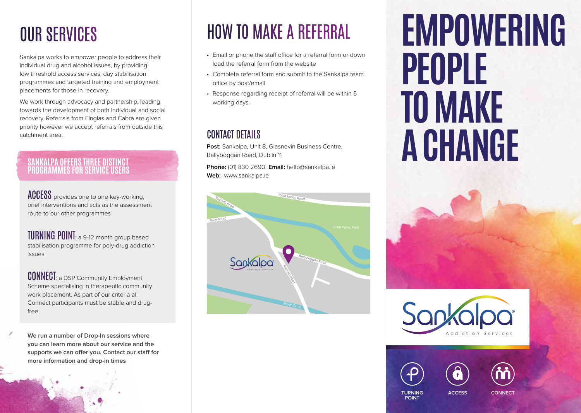### OUR SERVICES

Sankalpa works to empower people to address their individual drug and alcohol issues, by providing low threshold access services, day stabilisation programmes and targeted training and employment placements for those in recovery.

We work through advocacy and partnership, leading towards the development of both individual and social recovery. Referrals from Finglas and Cabra are given priority however we accept referrals from outside this catchment area.

### **SANKALPA OFFERS THREE DISTINCT PROGRAMMES FOR SERVICE USERS**

**ACCESS** provides one to one key-working, brief interventions and acts as the assessment route to our other programmes

TURNING POINT: a 9-12 month group based stabilisation programme for poly-drug addiction issues

**CONNECT:** a DSP Community Employment Scheme specialising in therapeutic community work placement. As part of our criteria all Connect participants must be stable and drugfree.

**We run a number of Drop-In sessions where you can learn more about our service and the supports we can offer you. Contact our staff for more information and drop-in times**

## HOW TO MAKE A REFERRAL

- Email or phone the staff office for a referral form or down load the referral form from the website
- Complete referral form and submit to the Sankalpa team office by post/email
- Response regarding receipt of referral will be within 5 working days.

### CONTACT DETAILS

**Post:** Sankalpa, Unit 8, Glasnevin Business Centre, Ballyboggan Road, Dublin 11

**Phone:** (01) 830 2690 **Email:** hello@sankalpa.ie **Web:** www.sankalpa.ie



# **EMPOWERING PEOPLE TO MAKE A CHANGE**







**TURNING POINT**

**ACCESS CONNECT**